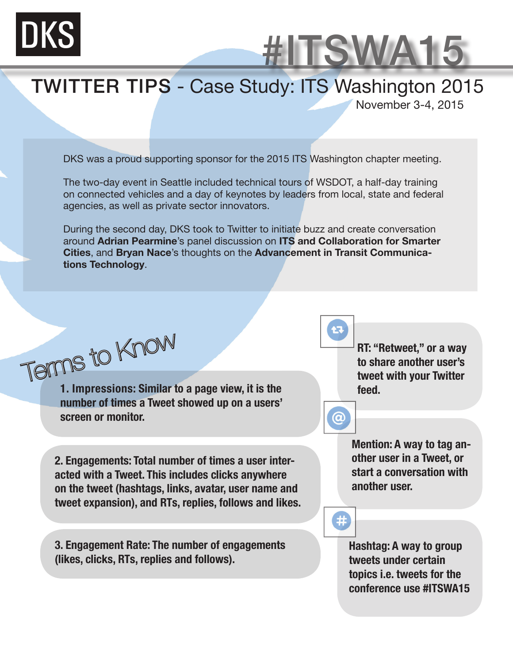

#### TWITTER TIPS - Case Study: ITS Washington 2015

November 3-4, 2015

#ITSWA15

DKS was a proud supporting sponsor for the 2015 ITS Washington chapter meeting.

The two-day event in Seattle included technical tours of WSDOT, a half-day training on connected vehicles and a day of keynotes by leaders from local, state and federal agencies, as well as private sector innovators.

During the second day, DKS took to Twitter to initiate buzz and create conversation around **Adrian Pearmine**'s panel discussion on **ITS and Collaboration for Smarter Cities**, and **Bryan Nace**'s thoughts on the **Advancement in Transit Communications Technology**.

Terms to Know

**1. Impressions: Similar to a page view, it is the number of times a Tweet showed up on a users' screen or monitor.**

**2. Engagements: Total number of times a user interacted with a Tweet. This includes clicks anywhere on the tweet (hashtags, links, avatar, user name and tweet expansion), and RTs, replies, follows and likes.**

**3. Engagement Rate: The number of engagements (likes, clicks, RTs, replies and follows).**

**RT: "Retweet," or a way to share another user's tweet with your Twitter feed.**

**@** 

 $#$ 

**Mention: A way to tag another user in a Tweet, or start a conversation with another user.**

**Hashtag: A way to group tweets under certain topics i.e. tweets for the conference use #ITSWA15**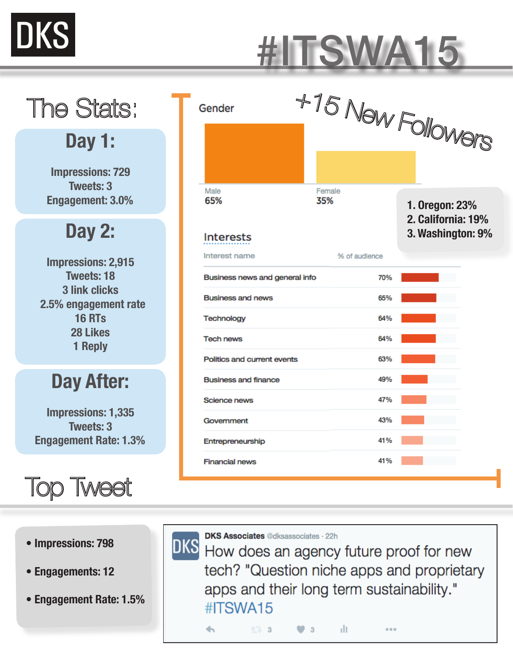

## #ITSWA15

## The Stats:

#### **Day 1:**

**Impressions: 729 Tweets: 3 Engagement: 3.0%**

### **Day 2:**

**Impressions: 2,915 Tweets: 18 3 link clicks 2.5% engagement rate 16 RTs 28 Likes 1 Reply**

#### **Day After:**

**Impressions: 1,335 Tweets: 3 Engagement Rate: 1.3%**

### Top Tweet

| Male<br>Female<br>35%<br>65%<br>1. Oregon: 23%<br>2. California: 19%<br>3. Washington: 9%<br><b>Interests</b><br>Interest name<br>% of audience<br>Business news and general info<br>70%<br><b>Business and news</b><br>65%<br>Technology<br>64%<br><b>Tech news</b><br>64%<br>63%<br>Politics and current events<br>49%<br><b>Business and finance</b><br>47%<br>Science news<br>43%<br>Government<br>41%<br>Entrepreneurship<br>41%<br><b>Financial news</b> | Gender | +15 New Followers |  |  |
|----------------------------------------------------------------------------------------------------------------------------------------------------------------------------------------------------------------------------------------------------------------------------------------------------------------------------------------------------------------------------------------------------------------------------------------------------------------|--------|-------------------|--|--|
|                                                                                                                                                                                                                                                                                                                                                                                                                                                                |        |                   |  |  |
|                                                                                                                                                                                                                                                                                                                                                                                                                                                                |        |                   |  |  |
|                                                                                                                                                                                                                                                                                                                                                                                                                                                                |        |                   |  |  |
|                                                                                                                                                                                                                                                                                                                                                                                                                                                                |        |                   |  |  |
|                                                                                                                                                                                                                                                                                                                                                                                                                                                                |        |                   |  |  |
|                                                                                                                                                                                                                                                                                                                                                                                                                                                                |        |                   |  |  |
|                                                                                                                                                                                                                                                                                                                                                                                                                                                                |        |                   |  |  |
|                                                                                                                                                                                                                                                                                                                                                                                                                                                                |        |                   |  |  |
|                                                                                                                                                                                                                                                                                                                                                                                                                                                                |        |                   |  |  |
|                                                                                                                                                                                                                                                                                                                                                                                                                                                                |        |                   |  |  |
|                                                                                                                                                                                                                                                                                                                                                                                                                                                                |        |                   |  |  |
|                                                                                                                                                                                                                                                                                                                                                                                                                                                                |        |                   |  |  |
|                                                                                                                                                                                                                                                                                                                                                                                                                                                                |        |                   |  |  |

**• Impressions: 798**

- **Engagements: 12**
- **Engagement Rate: 1.5%**

**DKS Associates @dksassociates · 22h** 

DKS **DKS Associates** @dksassociates . 22h<br>DKS How does an agency future proof for new tech? "Question niche apps and proprietary apps and their long term sustainability." #ITSWA15

$$
\mathbf{b} = \begin{bmatrix} 0.3 & 0.3 \\ 0.3 & 0.3 \end{bmatrix} \quad \mathbf{a} = \begin{bmatrix} 0.3 & 0.3 \\ 0.3 & 0.3 \end{bmatrix}
$$

 $000$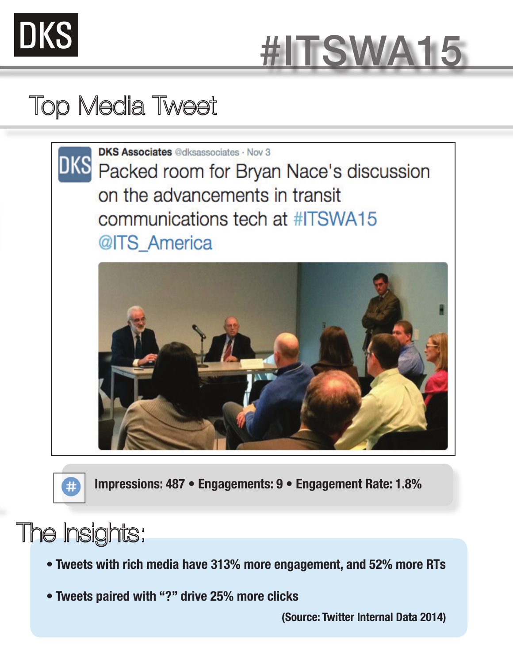



### Top Media Tweet





**Impressions: 487 • Engagements: 9 • Engagement Rate: 1.8%** 

### The Insights:

- **Tweets with rich media have 313% more engagement, and 52% more RTs**
- **Tweets paired with "?" drive 25% more clicks**

**(Source: Twitter Internal Data 2014)**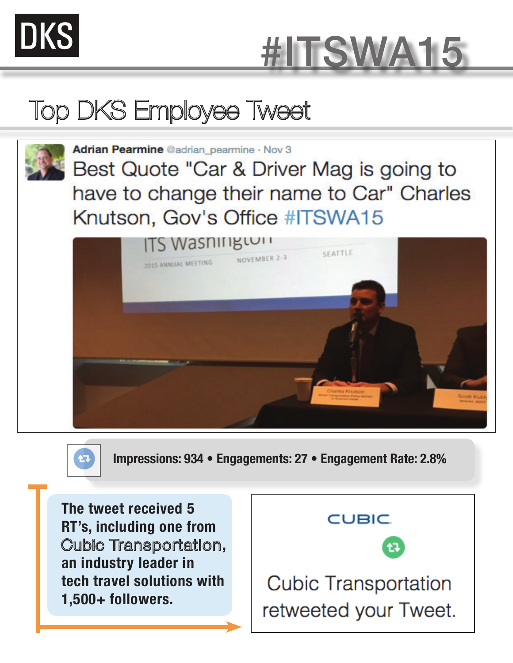



## Top DKS Employee Tweet



Adrian Pearmine @adrian pearmine · Nov 3

Best Quote "Car & Driver Mag is going to have to change their name to Car" Charles Knutson, Gov's Office #ITSWA15





**Impressions: 934 • Engagements: 27 • Engagement Rate: 2.8%** 

**The tweet received 5 RT's, including one from**  Cubic Transportation**, an industry leader in tech travel solutions with 1,500+ followers.** 

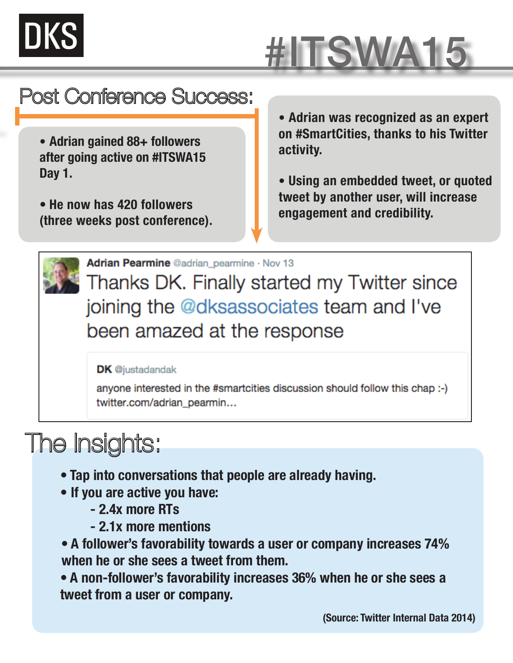# DKS

# #ITSWA15

### Post Conference Success:

- **Adrian gained 88+ followers after going active on #ITSWA15 Day 1.**
- **He now has 420 followers (three weeks post conference).**

**• Adrian was recognized as an expert on #SmartCities, thanks to his Twitter activity.**

**• Using an embedded tweet, or quoted tweet by another user, will increase engagement and credibility.**



Adrian Pearmine @adrian\_pearmine · Nov 13

Thanks DK. Finally started my Twitter since joining the @dksassociates team and I've been amazed at the response

#### **DK** @justadandak

anyone interested in the #smartcities discussion should follow this chap :-) twitter.com/adrian\_pearmin...

## The Insights:

- **Tap into conversations that people are already having.**
- **If you are active you have:**
	- **2.4x more RTs**
	- **2.1x more mentions**

**• A follower's favorability towards a user or company increases 74% when he or she sees a tweet from them.**

**• A non-follower's favorability increases 36% when he or she sees a tweet from a user or company.**